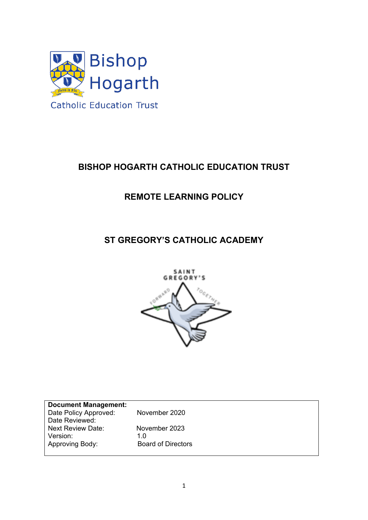

# **BISHOP HOGARTH CATHOLIC EDUCATION TRUST**

## **REMOTE LEARNING POLICY**

## **ST GREGORY'S CATHOLIC ACADEMY**



| <b>Document Management:</b> |                           |
|-----------------------------|---------------------------|
| Date Policy Approved:       | November 2020             |
| Date Reviewed:              |                           |
| <b>Next Review Date:</b>    | November 2023             |
| Version:                    | 1.0                       |
| Approving Body:             | <b>Board of Directors</b> |
|                             |                           |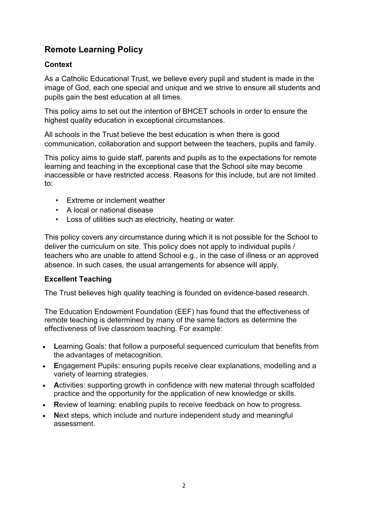## **Remote Learning Policy**

### **Context**

As a Catholic Educational Trust, we believe every pupil and student is made in the image of God, each one special and unique and we strive to ensure all students and pupils gain the best education at all times.

This policy aims to set out the intention of BHCET schools in order to ensure the highest quality education in exceptional circumstances.

All schools in the Trust believe the best education is when there is good communication, collaboration and support between the teachers, pupils and family.

This policy aims to guide staff, parents and pupils as to the expectations for remote learning and teaching in the exceptional case that the School site may become inaccessible or have restricted access. Reasons for this include, but are not limited to:

- Extreme or inclement weather
- A local or national disease
- Loss of utilities such as electricity, heating or water.

This policy covers any circumstance during which it is not possible for the School to deliver the curriculum on site. This policy does not apply to individual pupils / teachers who are unable to attend School e.g., in the case of illness or an approved absence. In such cases, the usual arrangements for absence will apply.

#### **Excellent Teaching**

The Trust believes high quality teaching is founded on evidence-based research.

The Education Endowment Foundation (EEF) has found that the effectiveness of remote teaching is determined by many of the same factors as determine the effectiveness of live classroom teaching. For example:

- **L**earning Goals: that follow a purposeful sequenced curriculum that benefits from the advantages of metacognition.
- **E**ngagement Pupils: ensuring pupils receive clear explanations, modelling and a variety of learning strategies.
- **A**ctivities: supporting growth in confidence with new material through scaffolded practice and the opportunity for the application of new knowledge or skills.
- **R**eview of learning: enabling pupils to receive feedback on how to progress.
- **N**ext steps, which include and nurture independent study and meaningful assessment.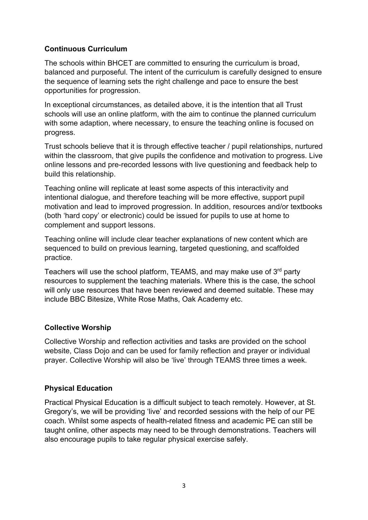### **Continuous Curriculum**

The schools within BHCET are committed to ensuring the curriculum is broad, balanced and purposeful. The intent of the curriculum is carefully designed to ensure the sequence of learning sets the right challenge and pace to ensure the best opportunities for progression.

In exceptional circumstances, as detailed above, it is the intention that all Trust schools will use an online platform, with the aim to continue the planned curriculum with some adaption, where necessary, to ensure the teaching online is focused on progress.

Trust schools believe that it is through effective teacher / pupil relationships, nurtured within the classroom, that give pupils the confidence and motivation to progress. Live online lessons and pre-recorded lessons with live questioning and feedback help to build this relationship.

Teaching online will replicate at least some aspects of this interactivity and intentional dialogue, and therefore teaching will be more effective, support pupil motivation and lead to improved progression. In addition, resources and/or textbooks (both 'hard copy' or electronic) could be issued for pupils to use at home to complement and support lessons.

Teaching online will include clear teacher explanations of new content which are sequenced to build on previous learning, targeted questioning, and scaffolded practice.

Teachers will use the school platform, TEAMS, and may make use of 3<sup>rd</sup> party resources to supplement the teaching materials. Where this is the case, the school will only use resources that have been reviewed and deemed suitable. These may include BBC Bitesize, White Rose Maths, Oak Academy etc.

#### **Collective Worship**

Collective Worship and reflection activities and tasks are provided on the school website, Class Dojo and can be used for family reflection and prayer or individual prayer. Collective Worship will also be 'live' through TEAMS three times a week.

#### **Physical Education**

Practical Physical Education is a difficult subject to teach remotely. However, at St. Gregory's, we will be providing 'live' and recorded sessions with the help of our PE coach. Whilst some aspects of health-related fitness and academic PE can still be taught online, other aspects may need to be through demonstrations. Teachers will also encourage pupils to take regular physical exercise safely.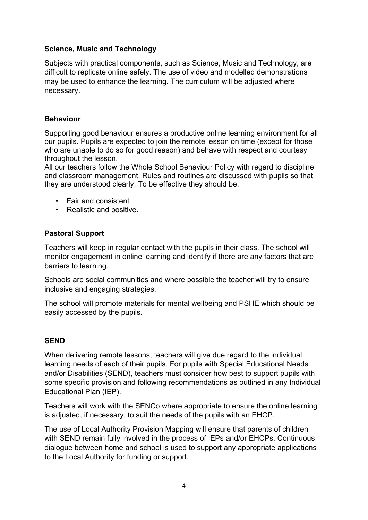#### **Science, Music and Technology**

Subjects with practical components, such as Science, Music and Technology, are difficult to replicate online safely. The use of video and modelled demonstrations may be used to enhance the learning. The curriculum will be adjusted where necessary.

### **Behaviour**

Supporting good behaviour ensures a productive online learning environment for all our pupils. Pupils are expected to join the remote lesson on time (except for those who are unable to do so for good reason) and behave with respect and courtesy throughout the lesson.

All our teachers follow the Whole School Behaviour Policy with regard to discipline and classroom management. Rules and routines are discussed with pupils so that they are understood clearly. To be effective they should be:

- Fair and consistent
- Realistic and positive.

#### **Pastoral Support**

Teachers will keep in regular contact with the pupils in their class. The school will monitor engagement in online learning and identify if there are any factors that are barriers to learning.

Schools are social communities and where possible the teacher will try to ensure inclusive and engaging strategies.

The school will promote materials for mental wellbeing and PSHE which should be easily accessed by the pupils.

#### **SEND**

When delivering remote lessons, teachers will give due regard to the individual learning needs of each of their pupils. For pupils with Special Educational Needs and/or Disabilities (SEND), teachers must consider how best to support pupils with some specific provision and following recommendations as outlined in any Individual Educational Plan (IEP).

Teachers will work with the SENCo where appropriate to ensure the online learning is adjusted, if necessary, to suit the needs of the pupils with an EHCP.

The use of Local Authority Provision Mapping will ensure that parents of children with SEND remain fully involved in the process of IEPs and/or EHCPs. Continuous dialogue between home and school is used to support any appropriate applications to the Local Authority for funding or support.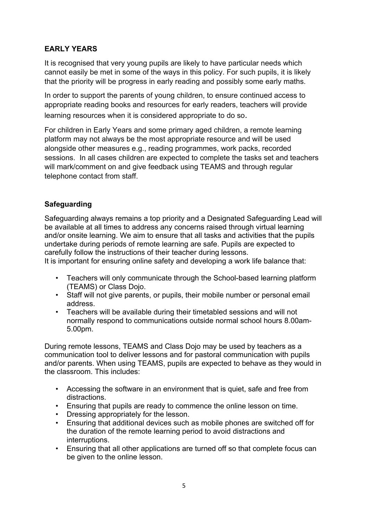### **EARLY YEARS**

It is recognised that very young pupils are likely to have particular needs which cannot easily be met in some of the ways in this policy. For such pupils, it is likely that the priority will be progress in early reading and possibly some early maths.

In order to support the parents of young children, to ensure continued access to appropriate reading books and resources for early readers, teachers will provide learning resources when it is considered appropriate to do so.

For children in Early Years and some primary aged children, a remote learning platform may not always be the most appropriate resource and will be used alongside other measures e.g., reading programmes, work packs, recorded sessions. In all cases children are expected to complete the tasks set and teachers will mark/comment on and give feedback using TEAMS and through regular telephone contact from staff.

### **Safeguarding**

Safeguarding always remains a top priority and a Designated Safeguarding Lead will be available at all times to address any concerns raised through virtual learning and/or onsite learning. We aim to ensure that all tasks and activities that the pupils undertake during periods of remote learning are safe. Pupils are expected to carefully follow the instructions of their teacher during lessons.

It is important for ensuring online safety and developing a work life balance that:

- Teachers will only communicate through the School-based learning platform (TEAMS) or Class Dojo.
- Staff will not give parents, or pupils, their mobile number or personal email address.
- Teachers will be available during their timetabled sessions and will not normally respond to communications outside normal school hours 8.00am-5.00pm.

During remote lessons, TEAMS and Class Dojo may be used by teachers as a communication tool to deliver lessons and for pastoral communication with pupils and/or parents. When using TEAMS, pupils are expected to behave as they would in the classroom. This includes:

- Accessing the software in an environment that is quiet, safe and free from distractions.
- Ensuring that pupils are ready to commence the online lesson on time.
- Dressing appropriately for the lesson.
- Ensuring that additional devices such as mobile phones are switched off for the duration of the remote learning period to avoid distractions and interruptions.
- Ensuring that all other applications are turned off so that complete focus can be given to the online lesson.